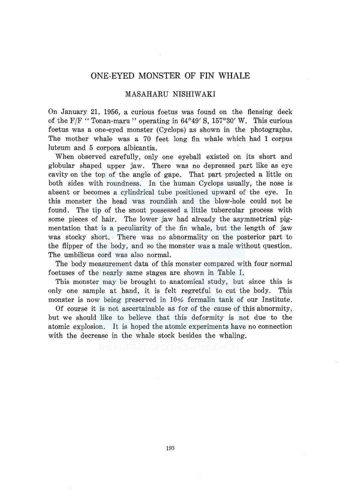## **ONE-EYED MONSTER OF FIN WHALE**

## MASAHARU NISHIWAKI

On January 21, 1956, a curious foetus was found on the fiensing deck of the F/F "Tonan-maru" operating in  $64^{\circ}49'$  S,  $157^{\circ}30'$  W. This curious foetus was a one-eyed monster (Cyclops) as shown in the photographs. The mother whale was a 70 feet long fin whale which had **1** corpus luteum and 5 corpora albicantia.

When observed carefully, only one eyeball existed on its short and globular shaped upper jaw. There was no depressed part like as eye cavity on the top of the angle of gape. That part projected a little on both sides with roundness. In the human Cyclops usually, the nose is absent or becomes a cylindrical tube positioned upward of the eye. In this monster the head was roundish and the blow-hole could not be found. The tip of the snout possessed a little tubercular process with some pieces of hair. The lower jaw had already the asymmetrical pigmentation that is a peculiarity of the fin whale, but the length of jaw was stocky short. There was no abnormality on the posterior part to the flipper of the body, and so the monster was a male without question. The umbilicus cord was also normal.

The body measurement data of this monster compared with four normal foetuses of the nearly same stages are shown in Table I.

This monster may be brought to anatomical study, but since this is only one sample at hand, it is felt regretful to cut the body. This monster is now being preserved in  $10\%$  fermalin tank of our Institute.

Of course it is not ascertainable as for of the cause of this abnormity, but we should like to believe that this deformity is not due to the atomic explosion. It is hoped the atomic experiments have no connection with the decrease in the whale stock besides the whaling.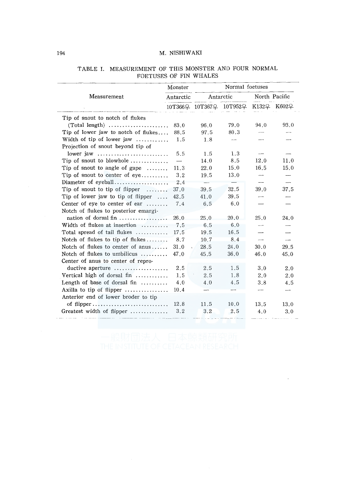## 194 M. NISHIWAKI

| Antarctic<br>83.0<br>Tip of lower jaw to notch of flukes<br>88.5<br>Width of tip of lower jaw<br>1.5 | 96.0<br>97.5<br>1.8                                                    | Antarctic<br>10T366우 10T367우 10T952우 K132우 K602우<br>79.0<br>80.3 | North Pacific<br>94.0                                   | 93.0                                             |
|------------------------------------------------------------------------------------------------------|------------------------------------------------------------------------|------------------------------------------------------------------|---------------------------------------------------------|--------------------------------------------------|
|                                                                                                      |                                                                        |                                                                  |                                                         |                                                  |
|                                                                                                      |                                                                        |                                                                  |                                                         |                                                  |
|                                                                                                      |                                                                        |                                                                  |                                                         |                                                  |
|                                                                                                      |                                                                        |                                                                  |                                                         |                                                  |
|                                                                                                      |                                                                        |                                                                  |                                                         |                                                  |
|                                                                                                      |                                                                        |                                                                  |                                                         |                                                  |
|                                                                                                      |                                                                        |                                                                  |                                                         |                                                  |
| lower jaw $\dots\dots\dots\dots\dots\dots\dots\dots\dots$<br>5.5                                     | 1.5                                                                    | 1.3                                                              |                                                         |                                                  |
|                                                                                                      | 14.0                                                                   | 8.5                                                              | 12.0                                                    | 11.0                                             |
| 11.3                                                                                                 | 22.0                                                                   | 15.0                                                             | 16.5                                                    | 15.0                                             |
| 3.2                                                                                                  | 19.5                                                                   | 13.0                                                             |                                                         |                                                  |
| Diameter of eyeball<br>2.4                                                                           | ---                                                                    |                                                                  | $\cdots$                                                | ----                                             |
| 37.0                                                                                                 | 39.5                                                                   | 32.5                                                             | 39.0                                                    | 37.5                                             |
| 42.5                                                                                                 | 41.0                                                                   | 39.5                                                             | سيب                                                     |                                                  |
| 7.4                                                                                                  | 6.5                                                                    | 6,0                                                              |                                                         |                                                  |
|                                                                                                      |                                                                        |                                                                  |                                                         |                                                  |
| nation of dorsal fin<br>26.0                                                                         | 25.0                                                                   | 20.0                                                             | 25.0                                                    | 24.0                                             |
| 7.5                                                                                                  | 6.5                                                                    | 6.0                                                              |                                                         |                                                  |
| 17.5                                                                                                 |                                                                        | 16.5                                                             |                                                         |                                                  |
| 8.7                                                                                                  |                                                                        |                                                                  | $\overline{\phantom{a}}$                                | $\overline{\phantom{a}}$                         |
|                                                                                                      |                                                                        |                                                                  |                                                         | 29.5                                             |
|                                                                                                      |                                                                        |                                                                  |                                                         | 45.0                                             |
|                                                                                                      |                                                                        |                                                                  |                                                         |                                                  |
|                                                                                                      |                                                                        |                                                                  |                                                         | 2.0                                              |
|                                                                                                      |                                                                        |                                                                  |                                                         | 2.0                                              |
|                                                                                                      |                                                                        |                                                                  |                                                         | 4.5                                              |
|                                                                                                      |                                                                        |                                                                  | -------                                                 | $\overline{\phantom{a}}$                         |
|                                                                                                      |                                                                        |                                                                  |                                                         |                                                  |
|                                                                                                      |                                                                        |                                                                  |                                                         | 13.0                                             |
|                                                                                                      |                                                                        |                                                                  |                                                         | 3.0                                              |
| Width of flukes at insertion<br>Vertical high of dorsal fin $\ldots$                                 | 31.0<br>47.0<br>2.5<br>1.5<br>4.0<br>10.4<br>of flipper<br>12.8<br>3.2 | 19.5<br>10.7<br>28.5<br>45.5<br>2.5<br>2.5<br>4.0<br>11.5<br>3.2 | 8.4<br>24.0<br>36.0<br>1.5<br>1.8<br>4.5<br>10.0<br>2.5 | 30.0<br>46.0<br>3.0<br>2.0<br>3.8<br>13.5<br>4.0 |

## TABLE I. MEASUREMENT OF THlS MONSTER AND FOUR NORMAL FOETUSES OF FIN WHALES

 $\ddot{\phantom{a}}$